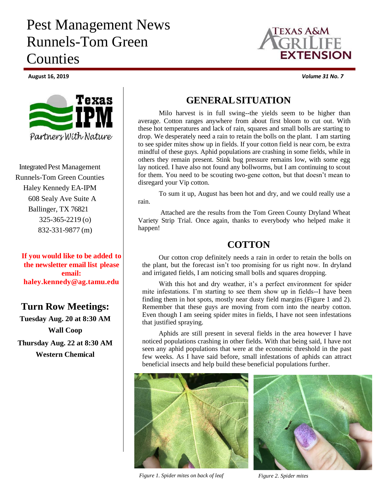## Pest Management News Runnels-Tom Green Counties



**Integrated Pest Management** Runnels-Tom Green Counties Haley Kennedy EA-IPM 608 Sealy Ave Suite A Ballinger, TX 76821 325-365-2219 (o) 832-331-9877 (m)

**If you would like to be added to the newsletter email list please email: haley.kennedy@ag.tamu.edu**

## **Turn Row Meetings:**

**Tuesday Aug. 20 at 8:30 AM Wall Coop Thursday Aug. 22 at 8:30 AM Western Chemical**



Milo harvest is in full swing--the yields seem to be higher than average. Cotton ranges anywhere from about first bloom to cut out. With these hot temperatures and lack of rain, squares and small bolls are starting to drop. We desperately need a rain to retain the bolls on the plant. I am starting to see spider mites show up in fields. If your cotton field is near corn, be extra mindful of these guys. Aphid populations are crashing in some fields, while in others they remain present. Stink bug pressure remains low, with some egg lay noticed. I have also not found any bollworms, but I am continuing to scout for them. You need to be scouting two-gene cotton, but that doesn't mean to disregard your Vip cotton.

To sum it up, August has been hot and dry, and we could really use a rain.

Attached are the results from the Tom Green County Dryland Wheat Variety Strip Trial. Once again, thanks to everybody who helped make it happen!

## **COTTON**

Our cotton crop definitely needs a rain in order to retain the bolls on the plant, but the forecast isn't too promising for us right now. In dryland and irrigated fields, I am noticing small bolls and squares dropping.

With this hot and dry weather, it's a perfect environment for spider mite infestations. I'm starting to see them show up in fields--I have been finding them in hot spots, mostly near dusty field margins (Figure 1 and 2). Remember that these guys are moving from corn into the nearby cotton. Even though I am seeing spider mites in fields, I have not seen infestations that justified spraying.

Aphids are still present in several fields in the area however I have noticed populations crashing in other fields. With that being said, I have not seen any aphid populations that were at the economic threshold in the past few weeks. As I have said before, small infestations of aphids can attract beneficial insects and help build these beneficial populations further.



*Figure 1. Spider mites on back of leaf Figure 2. Spider mites*





**August 16, 2019** *Volume 31 No. 7*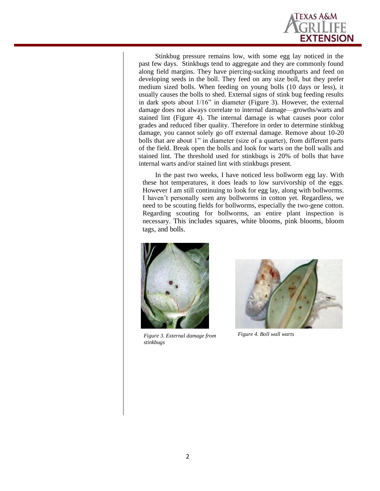

Stinkbug pressure remains low, with some egg lay noticed in the past few days. Stinkbugs tend to aggregate and they are commonly found along field margins. They have piercing-sucking mouthparts and feed on developing seeds in the boll. They feed on any size boll, but they prefer medium sized bolls. When feeding on young bolls (10 days or less), it usually causes the bolls to shed. External signs of stink bug feeding results in dark spots about 1/16" in diameter (Figure 3). However, the external damage does not always correlate to internal damage—growths/warts and stained lint (Figure 4). The internal damage is what causes poor color grades and reduced fiber quality. Therefore in order to determine stinkbug damage, you cannot solely go off external damage. Remove about 10-20 bolls that are about 1" in diameter (size of a quarter), from different parts of the field. Break open the bolls and look for warts on the boll walls and stained lint. The threshold used for stinkbugs is 20% of bolls that have internal warts and/or stained lint with stinkbugs present.

In the past two weeks, I have noticed less bollworm egg lay. With these hot temperatures, it does leads to low survivorship of the eggs. However I am still continuing to look for egg lay, along with bollworms. I haven't personally seen any bollworms in cotton yet. Regardless, we need to be scouting fields for bollworms, especially the two-gene cotton. Regarding scouting for bollworms, an entire plant inspection is necessary. This includes squares, white blooms, pink blooms, bloom tags, and bolls.



*Figure 3. External damage from stinkbugs* 



*Figure 4. Boll wall warts*